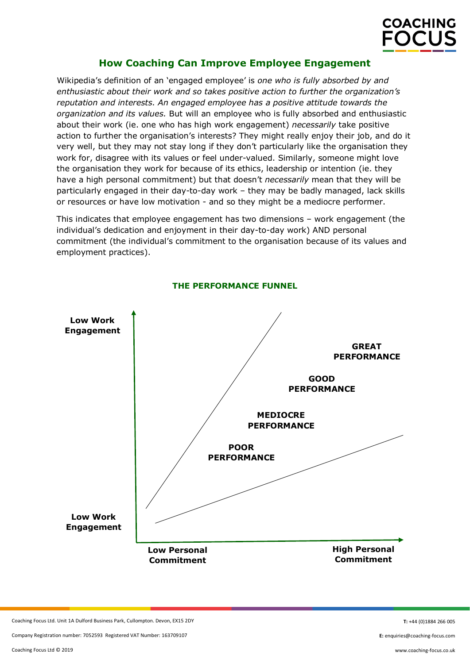

# **How Coaching Can Improve Employee Engagement**

[Wikipedia'](https://en.wikipedia.org/wiki/Employee_engagement)s definition of an 'engaged employee' is *one who is fully absorbed by and enthusiastic about their work and so takes positive action to further the organization's reputation and interests. An engaged employee has a positive attitude towards the organization and its values.* But will an employee who is fully absorbed and enthusiastic about their work (ie. one who has high work engagement) *necessarily* take positive action to further the organisation's interests? They might really enjoy their job, and do it very well, but they may not stay long if they don't particularly like the organisation they work for, disagree with its values or feel under-valued. Similarly, someone might love the organisation they work for because of its ethics, leadership or intention (ie. they have a high personal commitment) but that doesn't *necessarily* mean that they will be particularly engaged in their day-to-day work – they may be badly managed, lack skills or resources or have low motivation - and so they might be a mediocre performer.

This indicates that employee engagement has two dimensions – work engagement (the individual's dedication and enjoyment in their day-to-day work) AND personal commitment (the individual's commitment to the organisation because of its values and employment practices).



**THE PERFORMANCE FUNNEL**

Coaching Focus Ltd. Unit 1A Dulford Business Park, Cullompton. Devon, EX15 2DY

Company Registration number: 7052593 Registered VAT Number: 163709107

**T:** +44 (0)1884 266 005

**E:** enquiries@coaching-focus.com

www.coaching-focus.co.uk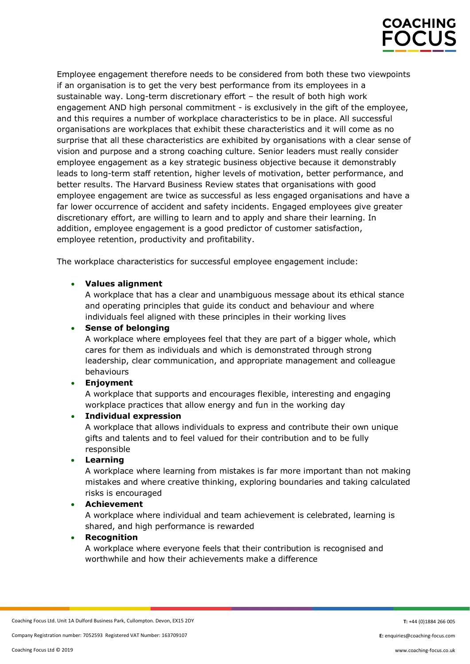

Employee engagement therefore needs to be considered from both these two viewpoints if an organisation is to get the very best performance from its employees in a sustainable way. Long-term discretionary effort – the result of both high work engagement AND high personal commitment - is exclusively in the gift of the employee, and this requires a number of workplace characteristics to be in place. All successful organisations are workplaces that exhibit these characteristics and it will come as no surprise that all these characteristics are exhibited by organisations with a clear sense of vision and purpose and a strong coaching culture. Senior leaders must really consider employee engagement as a key strategic business objective because it demonstrably leads to long-term staff retention, higher levels of motivation, better performance, and better results. The Harvard Business Review states that organisations with good employee engagement are twice as successful as less engaged organisations and have a far lower occurrence of accident and safety incidents. Engaged employees give greater discretionary effort, are willing to learn and to apply and share their learning. In addition, employee engagement is a good predictor of customer satisfaction, employee retention, productivity and profitability.

The workplace characteristics for successful employee engagement include:

# • **Values alignment**

A workplace that has a clear and unambiguous message about its ethical stance and operating principles that guide its conduct and behaviour and where individuals feel aligned with these principles in their working lives

## • **Sense of belonging**

A workplace where employees feel that they are part of a bigger whole, which cares for them as individuals and which is demonstrated through strong leadership, clear communication, and appropriate management and colleague behaviours

## • **Enjoyment**

A workplace that supports and encourages flexible, interesting and engaging workplace practices that allow energy and fun in the working day

## • **Individual expression**

A workplace that allows individuals to express and contribute their own unique gifts and talents and to feel valued for their contribution and to be fully responsible

### • **Learning**

A workplace where learning from mistakes is far more important than not making mistakes and where creative thinking, exploring boundaries and taking calculated risks is encouraged

### • **Achievement**

A workplace where individual and team achievement is celebrated, learning is shared, and high performance is rewarded

### • **Recognition**

A workplace where everyone feels that their contribution is recognised and worthwhile and how their achievements make a difference

**E:** enquiries@coaching-focus.com